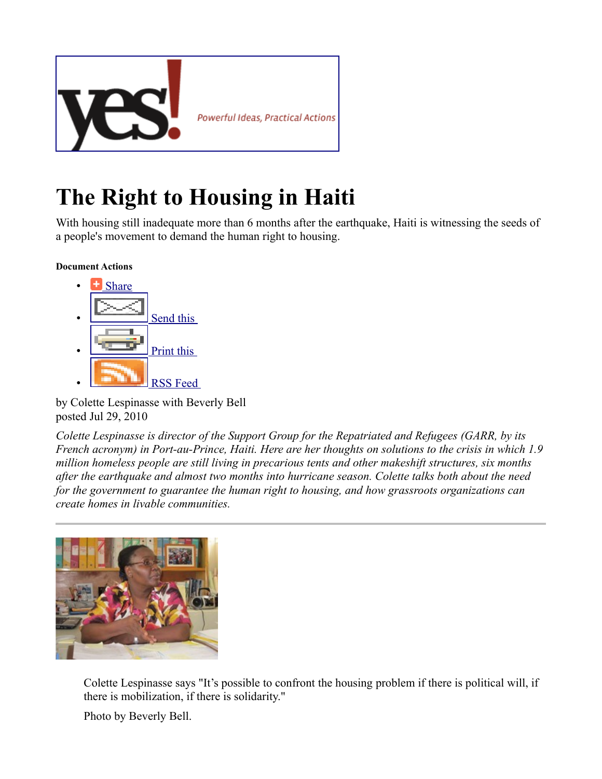

# **The Right to Housing in Haiti**

With housing still inadequate more than 6 months after the earthquake, Haiti is witnessing the seeds of a people's movement to demand the human right to housing.

#### **Document Actions**



by Colette Lespinasse with Beverly Bell posted Jul 29, 2010

*Colette Lespinasse is director of the Support Group for the Repatriated and Refugees (GARR, by its French acronym) in Port-au-Prince, Haiti. Here are her thoughts on solutions to the crisis in which 1.9 million homeless people are still living in precarious tents and other makeshift structures, six months after the earthquake and almost two months into hurricane season. Colette talks both about the need for the government to guarantee the human right to housing, and how grassroots organizations can create homes in livable communities.*



Colette Lespinasse says "It's possible to confront the housing problem if there is political will, if there is mobilization, if there is solidarity."

Photo by Beverly Bell.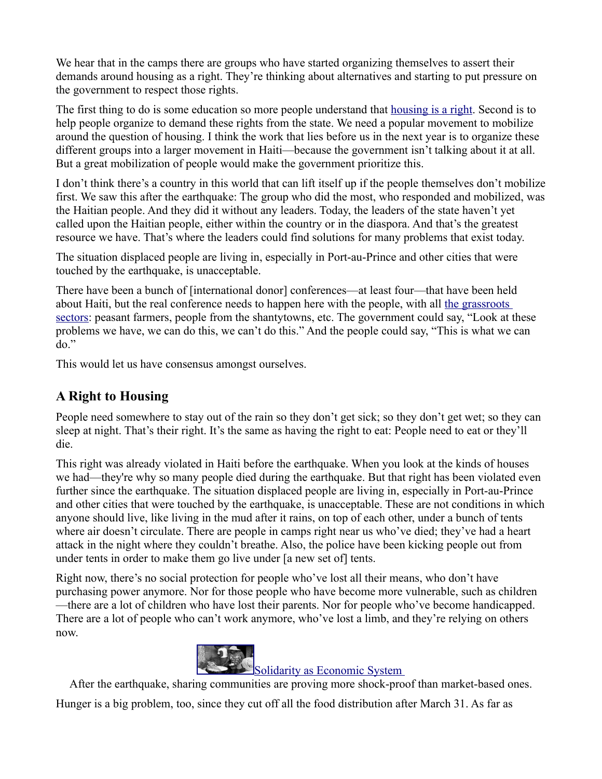We hear that in the camps there are groups who have started organizing themselves to assert their demands around housing as a right. They're thinking about alternatives and starting to put pressure on the government to respect those rights.

The first thing to do is some education so more people understand that [housing is a right.](http://www.yesmagazine.org/issues/is-the-u.s.-ready-for-human-rights/the-universal-declaration-of-human-rights) Second is to help people organize to demand these rights from the state. We need a popular movement to mobilize around the question of housing. I think the work that lies before us in the next year is to organize these different groups into a larger movement in Haiti—because the government isn't talking about it at all. But a great mobilization of people would make the government prioritize this.

I don't think there's a country in this world that can lift itself up if the people themselves don't mobilize first. We saw this after the earthquake: The group who did the most, who responded and mobilized, was the Haitian people. And they did it without any leaders. Today, the leaders of the state haven't yet called upon the Haitian people, either within the country or in the diaspora. And that's the greatest resource we have. That's where the leaders could find solutions for many problems that exist today.

The situation displaced people are living in, especially in Port-au-Prince and other cities that were touched by the earthquake, is unacceptable.

There have been a bunch of [international donor] conferences—at least four—that have been held about Haiti, but the real conference needs to happen here with the people, with all [the grassroots](http://www.yesmagazine.org/blogs/beverly-bell-in-haiti/whose-needs-whose-assessment) [sectors:](http://www.yesmagazine.org/blogs/beverly-bell-in-haiti/whose-needs-whose-assessment) peasant farmers, people from the shantytowns, etc. The government could say, "Look at these problems we have, we can do this, we can't do this." And the people could say, "This is what we can do."

This would let us have consensus amongst ourselves.

## **A Right to Housing**

People need somewhere to stay out of the rain so they don't get sick; so they don't get wet; so they can sleep at night. That's their right. It's the same as having the right to eat: People need to eat or they'll die.

This right was already violated in Haiti before the earthquake. When you look at the kinds of houses we had—they're why so many people died during the earthquake. But that right has been violated even further since the earthquake. The situation displaced people are living in, especially in Port-au-Prince and other cities that were touched by the earthquake, is unacceptable. These are not conditions in which anyone should live, like living in the mud after it rains, on top of each other, under a bunch of tents where air doesn't circulate. There are people in camps right near us who've died; they've had a heart attack in the night where they couldn't breathe. Also, the police have been kicking people out from under tents in order to make them go live under [a new set of] tents.

Right now, there's no social protection for people who've lost all their means, who don't have purchasing power anymore. Nor for those people who have become more vulnerable, such as children —there are a lot of children who have lost their parents. Nor for people who've become handicapped. There are a lot of people who can't work anymore, who've lost a limb, and they're relying on others now.



[Solidarity as Economic System](http://www.yesmagazine.org/blogs/beverly-bell-in-haiti/solidarity-as-economic-system-lessons-for-the-policy-makers) 

After the earthquake, sharing communities are proving more shock-proof than market-based ones. Hunger is a big problem, too, since they cut off all the food distribution after March 31. As far as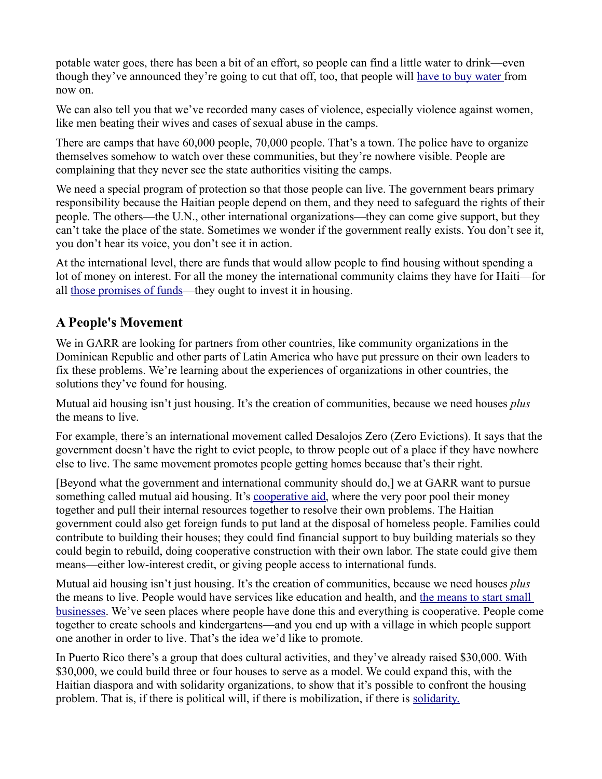potable water goes, there has been a bit of an effort, so people can find a little water to drink—even though they've announced they're going to cut that off, too, that people will [have to buy water f](http://www.yesmagazine.org/issues/water-solutions/3-world-water-wins)rom now on.

We can also tell you that we've recorded many cases of violence, especially violence against women, like men beating their wives and cases of sexual abuse in the camps.

There are camps that have 60,000 people, 70,000 people. That's a town. The police have to organize themselves somehow to watch over these communities, but they're nowhere visible. People are complaining that they never see the state authorities visiting the camps.

We need a special program of protection so that those people can live. The government bears primary responsibility because the Haitian people depend on them, and they need to safeguard the rights of their people. The others—the U.N., other international organizations—they can come give support, but they can't take the place of the state. Sometimes we wonder if the government really exists. You don't see it, you don't hear its voice, you don't see it in action.

At the international level, there are funds that would allow people to find housing without spending a lot of money on interest. For all the money the international community claims they have for Haiti—for all [those promises of funds—](http://www.yesmagazine.org/blogs/beverly-bell-in-haiti/beyond-disaster-aid-solidarity)they ought to invest it in housing.

### **A People's Movement**

We in GARR are looking for partners from other countries, like community organizations in the Dominican Republic and other parts of Latin America who have put pressure on their own leaders to fix these problems. We're learning about the experiences of organizations in other countries, the solutions they've found for housing.

Mutual aid housing isn't just housing. It's the creation of communities, because we need houses *plus* the means to live.

For example, there's an international movement called Desalojos Zero (Zero Evictions). It says that the government doesn't have the right to evict people, to throw people out of a place if they have nowhere else to live. The same movement promotes people getting homes because that's their right.

[Beyond what the government and international community should do,] we at GARR want to pursue something called mutual aid housing. It's [cooperative aid,](http://www.yesmagazine.org/blogs/common-security-clubs) where the very poor pool their money together and pull their internal resources together to resolve their own problems. The Haitian government could also get foreign funds to put land at the disposal of homeless people. Families could contribute to building their houses; they could find financial support to buy building materials so they could begin to rebuild, doing cooperative construction with their own labor. The state could give them means—either low-interest credit, or giving people access to international funds.

Mutual aid housing isn't just housing. It's the creation of communities, because we need houses *plus* the means to live. People would have services like education and health, and [the means to start small](http://www.yesmagazine.org/new-economy/banking-on-change) [businesses.](http://www.yesmagazine.org/new-economy/banking-on-change) We've seen places where people have done this and everything is cooperative. People come together to create schools and kindergartens—and you end up with a village in which people support one another in order to live. That's the idea we'd like to promote.

In Puerto Rico there's a group that does cultural activities, and they've already raised \$30,000. With \$30,000, we could build three or four houses to serve as a model. We could expand this, with the Haitian diaspora and with solidarity organizations, to show that it's possible to confront the housing problem. That is, if there is political will, if there is mobilization, if there is [solidarity.](http://www.yesmagazine.org/blogs/beverly-bell-in-haiti/solidarity-as-economic-system-lessons-for-the-policy-makers)